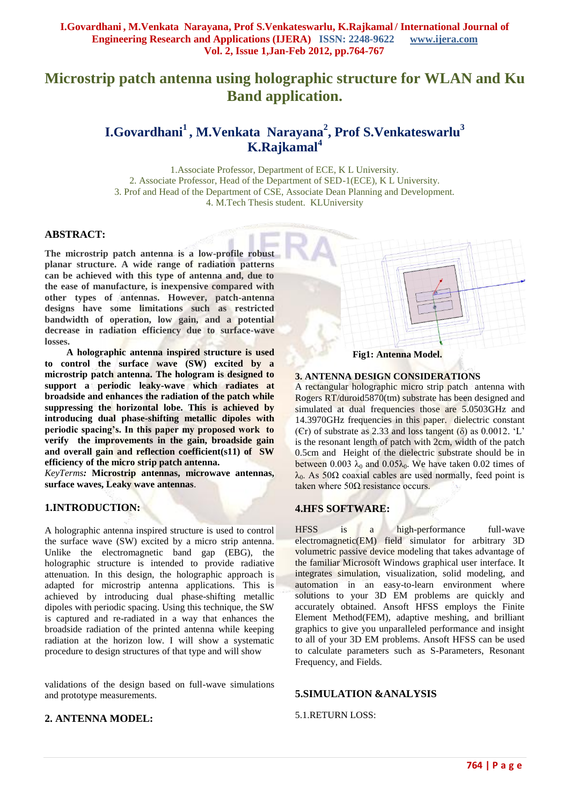# **Microstrip patch antenna using holographic structure for WLAN and Ku Band application.**

# **I.Govardhani<sup>1</sup> , M.Venkata Narayana<sup>2</sup> , Prof S.Venkateswarlu<sup>3</sup> K.Rajkamal<sup>4</sup>**

1.Associate Professor, Department of ECE, K L University. 2. Associate Professor, Head of the Department of SED-1(ECE), K L University. 3. Prof and Head of the Department of CSE, Associate Dean Planning and Development. 4. M.Tech Thesis student. KLUniversity

#### **ABSTRACT:**

**The microstrip patch antenna is a low-profile robust planar structure. A wide range of radiation patterns can be achieved with this type of antenna and, due to the ease of manufacture, is inexpensive compared with other types of antennas. However, patch-antenna designs have some limitations such as restricted bandwidth of operation, low gain, and a potential decrease in radiation efficiency due to surface-wave losses.**

 **A holographic antenna inspired structure is used to control the surface wave (SW) excited by a microstrip patch antenna. The hologram is designed to support a periodic leaky-wave which radiates at broadside and enhances the radiation of the patch while suppressing the horizontal lobe. This is achieved by introducing dual phase-shifting metallic dipoles with periodic spacing's. In this paper my proposed work to verify the improvements in the gain, broadside gain and overall gain and reflection coefficient(s11) of SW efficiency of the micro strip patch antenna.**

*KeyTerms:* **Microstrip antennas, microwave antennas, surface waves, Leaky wave antennas**.

## **1.INTRODUCTION:**

A holographic antenna inspired structure is used to control the surface wave (SW) excited by a micro strip antenna. Unlike the electromagnetic band gap (EBG), the holographic structure is intended to provide radiative attenuation. In this design, the holographic approach is adapted for microstrip antenna applications. This is achieved by introducing dual phase-shifting metallic dipoles with periodic spacing. Using this technique, the SW is captured and re-radiated in a way that enhances the broadside radiation of the printed antenna while keeping radiation at the horizon low. I will show a systematic procedure to design structures of that type and will show

validations of the design based on full-wave simulations and prototype measurements.

## **2. ANTENNA MODEL:**



#### **3. ANTENNA DESIGN CONSIDERATIONS**

A rectangular holographic micro strip patch antenna with Rogers RT/duroid5870(tm) substrate has been designed and simulated at dual frequencies those are 5.0503GHz and 14.3970GHz frequencies in this paper. dielectric constant (Er) of substrate as 2.33 and loss tangent  $(\delta)$  as 0.0012. 'L' is the resonant length of patch with 2cm, width of the patch 0.5cm and Height of the dielectric substrate should be in between 0.003  $\lambda_0$  and 0.05 $\lambda_0$ . We have taken 0.02 times of  $λ<sub>0</sub>$ . As 50Ω coaxial cables are used normally, feed point is taken where  $50Ω$  resistance occurs.

## **4.HFS SOFTWARE:**

HFSS is a high-performance full-wave electromagnetic(EM) field simulator for arbitrary 3D volumetric passive device modeling that takes advantage of the familiar Microsoft Windows graphical user interface. It integrates simulation, visualization, solid modeling, and automation in an easy-to-learn environment where solutions to your 3D EM problems are quickly and accurately obtained. Ansoft HFSS employs the Finite Element Method(FEM), adaptive meshing, and brilliant graphics to give you unparalleled performance and insight to all of your 3D EM problems. Ansoft HFSS can be used to calculate parameters such as S-Parameters, Resonant Frequency, and Fields.

#### **5.SIMULATION &ANALYSIS**

#### 5.1.RETURN LOSS: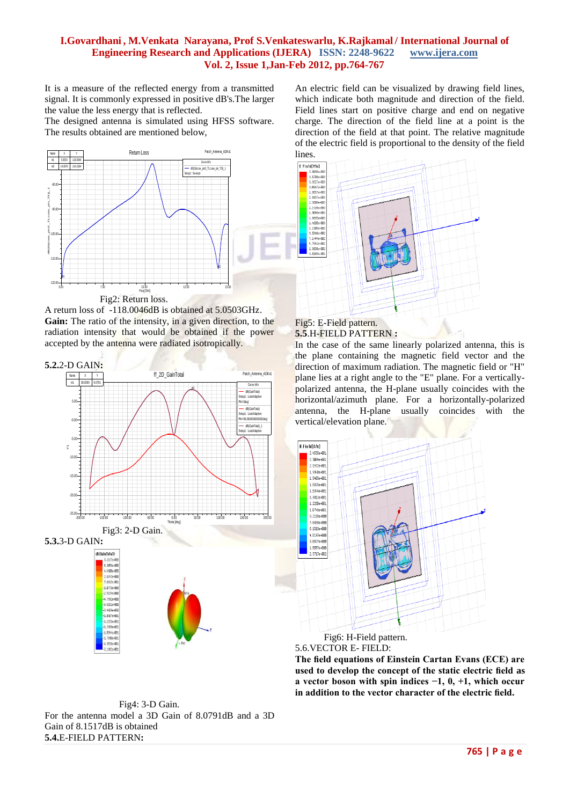## **I.Govardhani , M.Venkata Narayana, Prof S.Venkateswarlu, K.Rajkamal / International Journal of Engineering Research and Applications (IJERA) ISSN: 2248-9622 www.ijera.com Vol. 2, Issue 1,Jan-Feb 2012, pp.764-767**

It is a measure of the reflected energy from a transmitted signal. It is commonly expressed in positive dB's.The larger the value the less energy that is reflected.

The designed antenna is simulated using HFSS software. The results obtained are mentioned below,



A return loss of -118.0046dB is obtained at 5.0503GHz. **Gain:** The ratio of the intensity, in a given direction, to the radiation intensity that would be obtained if the power accepted by the antenna were radiated isotropically.



An electric field can be visualized by drawing field lines, which indicate both magnitude and direction of the field. Field lines start on positive charge and end on negative charge. The direction of the field line at a point is the direction of the field at that point. The relative magnitude of the electric field is proportional to the density of the field lines.



#### Fig5: E-Field pattern. **5.5**.H-FIELD PATTERN **:**

In the case of the same linearly polarized antenna, this is the plane containing the magnetic field vector and the direction of maximum radiation. The magnetic field or "H" plane lies at a right angle to the "E" plane. For a verticallypolarized antenna, the H-plane usually coincides with the horizontal/azimuth plane. For a horizontally-polarized antenna, the H-plane usually coincides with the vertical/elevation plane.



5.6.VECTOR E- FIELD:

**The field equations of Einstein Cartan Evans (ECE) are used to develop the concept of the static electric field as a vector boson with spin indices −1, 0, +1, which occur in addition to the vector character of the electric field.**

 Fig4: 3-D Gain. For the antenna model a 3D Gain of 8.0791dB and a 3D Gain of 8.1517dB is obtained **5.4.**E-FIELD PATTERN**:**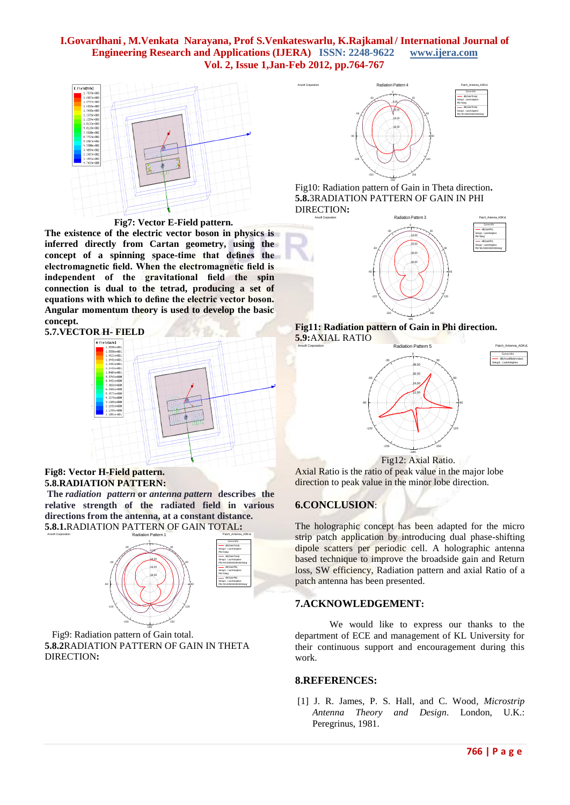## **I.Govardhani , M.Venkata Narayana, Prof S.Venkateswarlu, K.Rajkamal / International Journal of Engineering Research and Applications (IJERA) ISSN: 2248-9622 www.ijera.com Vol. 2, Issue 1,Jan-Feb 2012, pp.764-767**



 **Fig7: Vector E-Field pattern.**

**The existence of the electric vector boson in physics is inferred directly from Cartan geometry, using the concept of a spinning space-time that defines the electromagnetic field. When the electromagnetic field is independent of the gravitational field the spin connection is dual to the tetrad, producing a set of equations with which to define the electric vector boson. Angular momentum theory is used to develop the basic concept.**



#### **Fig8: Vector H-Field pattern. 5.8.RADIATION PATTERN:**

**The** *radiation pattern* **or** *antenna pattern* **describes the relative strength of the radiated field in various directions from the antenna, at a constant distance. 5.8.1.**RADIATION PATTERN OF GAIN TOTAL**:**



 Fig9: Radiation pattern of Gain total. **5.8.2**RADIATION PATTERN OF GAIN IN THETA DIRECTION**:**



Fig10: Radiation pattern of Gain in Theta direction**. 5.8.**3RADIATION PATTERN OF GAIN IN PHI DIRECTION**:**



#### **Fig11: Radiation pattern of Gain in Phi direction. 5.9:**AXIAL RATIO



 Fig12: Axial Ratio. Axial Ratio is the ratio of peak value in the major lobe direction to peak value in the minor lobe direction.

# **6.CONCLUSION**:

The holographic concept has been adapted for the micro strip patch application by introducing dual phase-shifting dipole scatters per periodic cell. A holographic antenna based technique to improve the broadside gain and Return loss, SW efficiency, Radiation pattern and axial Ratio of a patch antenna has been presented.

# **7.ACKNOWLEDGEMENT:**

We would like to express our thanks to the department of ECE and management of KL University for their continuous support and encouragement during this work.

## **8.REFERENCES:**

[1] J. R. James, P. S. Hall, and C. Wood*, Microstrip Antenna Theory and Design*. London, U.K.: Peregrinus, 1981.

Curve Info dB(AxialRatioValue) Setup1 : LastAdaptive